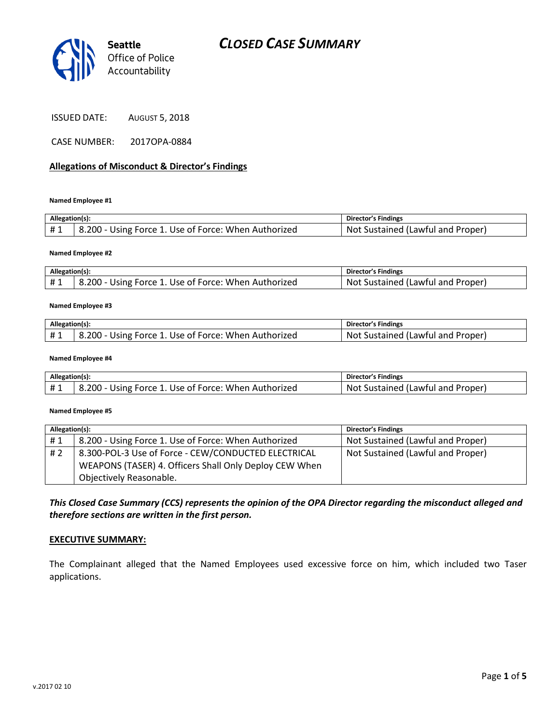

| <b>AUGUST 5, 2018</b> |
|-----------------------|
|                       |

CASE NUMBER: 2017OPA-0884

#### **Allegations of Misconduct & Director's Findings**

**Named Employee #1**

| Allegation(s): |                                                      | Director's Findings                      |
|----------------|------------------------------------------------------|------------------------------------------|
| #1             | 8.200 - Using Force 1. Use of Force: When Authorized | . Sustained (Lawful and Proper).<br>-Not |

#### **Named Employee #2**

| Allegation(s): |                                                      | Director's Findings                     |
|----------------|------------------------------------------------------|-----------------------------------------|
| <b>H</b> 1     | 8.200 - Using Force 1. Use of Force: When Authorized | ' Sustained (Lawful and Proper).<br>Not |

#### **Named Employee #3**

| Allegation(s): |                                                      | <b>Director's Findings</b>             |
|----------------|------------------------------------------------------|----------------------------------------|
|                | 8.200 - Using Force 1. Use of Force: When Authorized | : Sustained (Lawful and Proper)<br>Not |

#### **Named Employee #4**

| Allegation(s): |                                                      | Director's Findings               |
|----------------|------------------------------------------------------|-----------------------------------|
| #1             | 8.200 - Using Force 1. Use of Force: When Authorized | Not Sustained (Lawful and Proper) |

#### **Named Employee #5**

| Allegation(s): |                                                        | Director's Findings               |
|----------------|--------------------------------------------------------|-----------------------------------|
| #1             | 8.200 - Using Force 1. Use of Force: When Authorized   | Not Sustained (Lawful and Proper) |
| #2             | 8.300-POL-3 Use of Force - CEW/CONDUCTED ELECTRICAL    | Not Sustained (Lawful and Proper) |
|                | WEAPONS (TASER) 4. Officers Shall Only Deploy CEW When |                                   |
|                | Objectively Reasonable.                                |                                   |

#### *This Closed Case Summary (CCS) represents the opinion of the OPA Director regarding the misconduct alleged and therefore sections are written in the first person.*

#### **EXECUTIVE SUMMARY:**

The Complainant alleged that the Named Employees used excessive force on him, which included two Taser applications.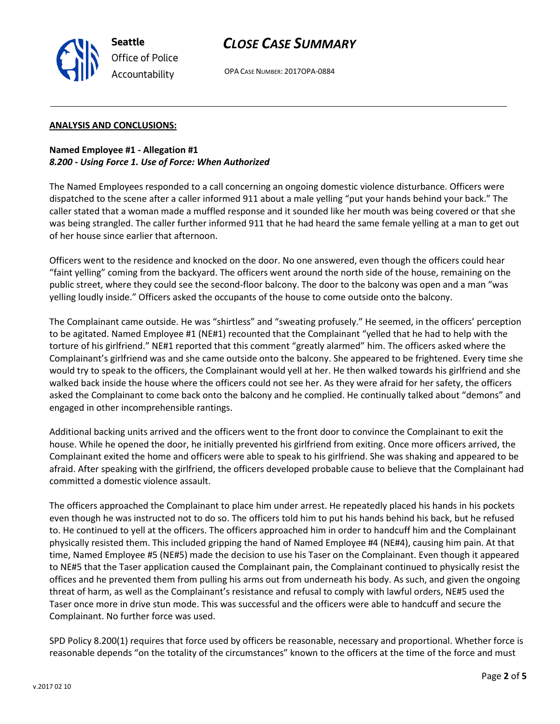## *CLOSE CASE SUMMARY*



OPA CASE NUMBER: 2017OPA-0884

#### **ANALYSIS AND CONCLUSIONS:**

**Named Employee #1 - Allegation #1** *8.200 - Using Force 1. Use of Force: When Authorized*

The Named Employees responded to a call concerning an ongoing domestic violence disturbance. Officers were dispatched to the scene after a caller informed 911 about a male yelling "put your hands behind your back." The caller stated that a woman made a muffled response and it sounded like her mouth was being covered or that she was being strangled. The caller further informed 911 that he had heard the same female yelling at a man to get out of her house since earlier that afternoon.

Officers went to the residence and knocked on the door. No one answered, even though the officers could hear "faint yelling" coming from the backyard. The officers went around the north side of the house, remaining on the public street, where they could see the second-floor balcony. The door to the balcony was open and a man "was yelling loudly inside." Officers asked the occupants of the house to come outside onto the balcony.

The Complainant came outside. He was "shirtless" and "sweating profusely." He seemed, in the officers' perception to be agitated. Named Employee #1 (NE#1) recounted that the Complainant "yelled that he had to help with the torture of his girlfriend." NE#1 reported that this comment "greatly alarmed" him. The officers asked where the Complainant's girlfriend was and she came outside onto the balcony. She appeared to be frightened. Every time she would try to speak to the officers, the Complainant would yell at her. He then walked towards his girlfriend and she walked back inside the house where the officers could not see her. As they were afraid for her safety, the officers asked the Complainant to come back onto the balcony and he complied. He continually talked about "demons" and engaged in other incomprehensible rantings.

Additional backing units arrived and the officers went to the front door to convince the Complainant to exit the house. While he opened the door, he initially prevented his girlfriend from exiting. Once more officers arrived, the Complainant exited the home and officers were able to speak to his girlfriend. She was shaking and appeared to be afraid. After speaking with the girlfriend, the officers developed probable cause to believe that the Complainant had committed a domestic violence assault.

The officers approached the Complainant to place him under arrest. He repeatedly placed his hands in his pockets even though he was instructed not to do so. The officers told him to put his hands behind his back, but he refused to. He continued to yell at the officers. The officers approached him in order to handcuff him and the Complainant physically resisted them. This included gripping the hand of Named Employee #4 (NE#4), causing him pain. At that time, Named Employee #5 (NE#5) made the decision to use his Taser on the Complainant. Even though it appeared to NE#5 that the Taser application caused the Complainant pain, the Complainant continued to physically resist the offices and he prevented them from pulling his arms out from underneath his body. As such, and given the ongoing threat of harm, as well as the Complainant's resistance and refusal to comply with lawful orders, NE#5 used the Taser once more in drive stun mode. This was successful and the officers were able to handcuff and secure the Complainant. No further force was used.

SPD Policy 8.200(1) requires that force used by officers be reasonable, necessary and proportional. Whether force is reasonable depends "on the totality of the circumstances" known to the officers at the time of the force and must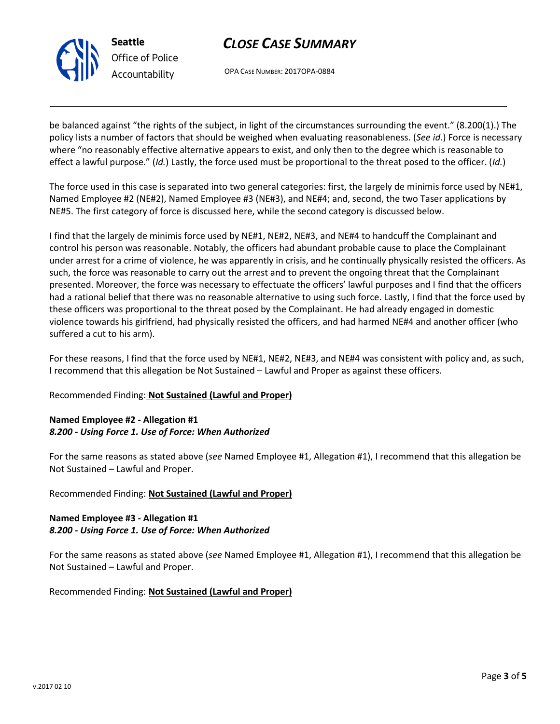

## *CLOSE CASE SUMMARY*

OPA CASE NUMBER: 2017OPA-0884

be balanced against "the rights of the subject, in light of the circumstances surrounding the event." (8.200(1).) The policy lists a number of factors that should be weighed when evaluating reasonableness. (*See id.*) Force is necessary where "no reasonably effective alternative appears to exist, and only then to the degree which is reasonable to effect a lawful purpose." (*Id.*) Lastly, the force used must be proportional to the threat posed to the officer. (*Id.*)

The force used in this case is separated into two general categories: first, the largely de minimis force used by NE#1, Named Employee #2 (NE#2), Named Employee #3 (NE#3), and NE#4; and, second, the two Taser applications by NE#5. The first category of force is discussed here, while the second category is discussed below.

I find that the largely de minimis force used by NE#1, NE#2, NE#3, and NE#4 to handcuff the Complainant and control his person was reasonable. Notably, the officers had abundant probable cause to place the Complainant under arrest for a crime of violence, he was apparently in crisis, and he continually physically resisted the officers. As such, the force was reasonable to carry out the arrest and to prevent the ongoing threat that the Complainant presented. Moreover, the force was necessary to effectuate the officers' lawful purposes and I find that the officers had a rational belief that there was no reasonable alternative to using such force. Lastly, I find that the force used by these officers was proportional to the threat posed by the Complainant. He had already engaged in domestic violence towards his girlfriend, had physically resisted the officers, and had harmed NE#4 and another officer (who suffered a cut to his arm).

For these reasons, I find that the force used by NE#1, NE#2, NE#3, and NE#4 was consistent with policy and, as such, I recommend that this allegation be Not Sustained – Lawful and Proper as against these officers.

## Recommended Finding: **Not Sustained (Lawful and Proper)**

## **Named Employee #2 - Allegation #1** *8.200 - Using Force 1. Use of Force: When Authorized*

For the same reasons as stated above (*see* Named Employee #1, Allegation #1), I recommend that this allegation be Not Sustained – Lawful and Proper.

#### Recommended Finding: **Not Sustained (Lawful and Proper)**

#### **Named Employee #3 - Allegation #1** *8.200 - Using Force 1. Use of Force: When Authorized*

For the same reasons as stated above (*see* Named Employee #1, Allegation #1), I recommend that this allegation be Not Sustained – Lawful and Proper.

#### Recommended Finding: **Not Sustained (Lawful and Proper)**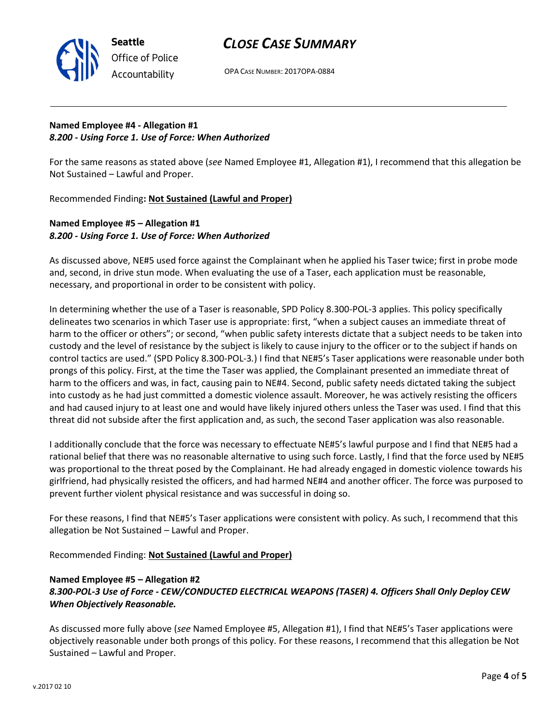

OPA CASE NUMBER: 2017OPA-0884

## **Named Employee #4 - Allegation #1** *8.200 - Using Force 1. Use of Force: When Authorized*

**Seattle**

*Office of Police Accountability*

For the same reasons as stated above (*see* Named Employee #1, Allegation #1), I recommend that this allegation be Not Sustained – Lawful and Proper.

Recommended Finding**: Not Sustained (Lawful and Proper)**

## **Named Employee #5 – Allegation #1** *8.200 - Using Force 1. Use of Force: When Authorized*

As discussed above, NE#5 used force against the Complainant when he applied his Taser twice; first in probe mode and, second, in drive stun mode. When evaluating the use of a Taser, each application must be reasonable, necessary, and proportional in order to be consistent with policy.

In determining whether the use of a Taser is reasonable, SPD Policy 8.300-POL-3 applies. This policy specifically delineates two scenarios in which Taser use is appropriate: first, "when a subject causes an immediate threat of harm to the officer or others"; or second, "when public safety interests dictate that a subject needs to be taken into custody and the level of resistance by the subject is likely to cause injury to the officer or to the subject if hands on control tactics are used." (SPD Policy 8.300-POL-3*.*) I find that NE#5's Taser applications were reasonable under both prongs of this policy. First, at the time the Taser was applied, the Complainant presented an immediate threat of harm to the officers and was, in fact, causing pain to NE#4. Second, public safety needs dictated taking the subject into custody as he had just committed a domestic violence assault. Moreover, he was actively resisting the officers and had caused injury to at least one and would have likely injured others unless the Taser was used. I find that this threat did not subside after the first application and, as such, the second Taser application was also reasonable.

I additionally conclude that the force was necessary to effectuate NE#5's lawful purpose and I find that NE#5 had a rational belief that there was no reasonable alternative to using such force. Lastly, I find that the force used by NE#5 was proportional to the threat posed by the Complainant. He had already engaged in domestic violence towards his girlfriend, had physically resisted the officers, and had harmed NE#4 and another officer. The force was purposed to prevent further violent physical resistance and was successful in doing so.

For these reasons, I find that NE#5's Taser applications were consistent with policy. As such, I recommend that this allegation be Not Sustained – Lawful and Proper.

Recommended Finding: **Not Sustained (Lawful and Proper)**

## **Named Employee #5 – Allegation #2**

## *8.300-POL-3 Use of Force - CEW/CONDUCTED ELECTRICAL WEAPONS (TASER) 4. Officers Shall Only Deploy CEW When Objectively Reasonable.*

As discussed more fully above (*see* Named Employee #5, Allegation #1), I find that NE#5's Taser applications were objectively reasonable under both prongs of this policy. For these reasons, I recommend that this allegation be Not Sustained – Lawful and Proper.